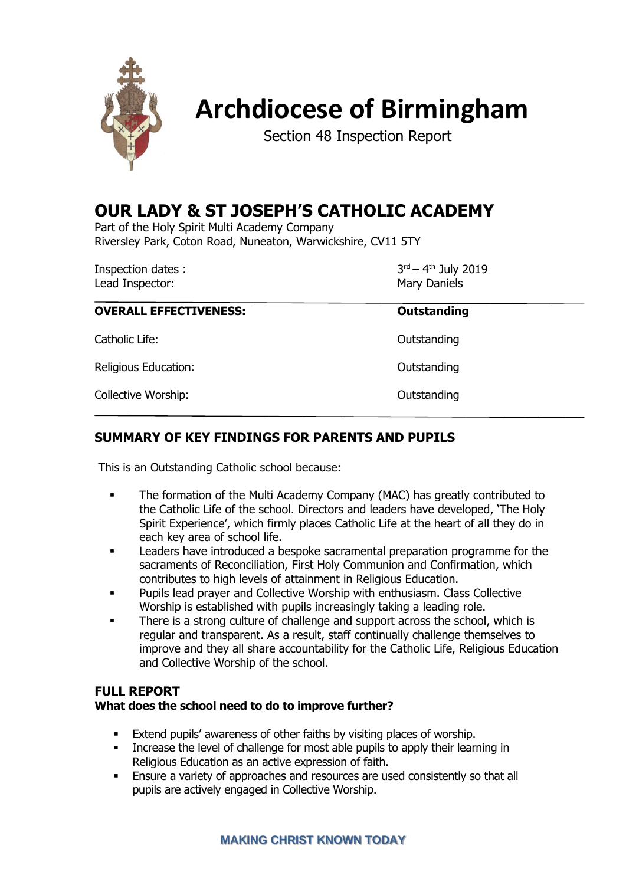

# **Archdiocese of Birmingham**

Section 48 Inspection Report

# **OUR LADY & ST JOSEPH'S CATHOLIC ACADEMY**

Part of the Holy Spirit Multi Academy Company Riversley Park, Coton Road, Nuneaton, Warwickshire, CV11 5TY

Inspection dates : Lead Inspector: National Assembly Daniels and Mary Daniels

<sup>rd</sup> – 4<sup>th</sup> July 2019

| <b>OVERALL EFFECTIVENESS:</b> | Outstanding |
|-------------------------------|-------------|
| Catholic Life:                | Outstanding |
| Religious Education:          | Outstanding |
| Collective Worship:           | Outstanding |

# **SUMMARY OF KEY FINDINGS FOR PARENTS AND PUPILS**

This is an Outstanding Catholic school because:

- The formation of the Multi Academy Company (MAC) has greatly contributed to the Catholic Life of the school. Directors and leaders have developed, 'The Holy Spirit Experience', which firmly places Catholic Life at the heart of all they do in each key area of school life.
- Leaders have introduced a bespoke sacramental preparation programme for the sacraments of Reconciliation, First Holy Communion and Confirmation, which contributes to high levels of attainment in Religious Education.
- Pupils lead prayer and Collective Worship with enthusiasm. Class Collective Worship is established with pupils increasingly taking a leading role.
- There is a strong culture of challenge and support across the school, which is regular and transparent. As a result, staff continually challenge themselves to improve and they all share accountability for the Catholic Life, Religious Education and Collective Worship of the school.

#### **FULL REPORT**

#### **What does the school need to do to improve further?**

- Extend pupils' awareness of other faiths by visiting places of worship.
- Increase the level of challenge for most able pupils to apply their learning in Religious Education as an active expression of faith.
- Ensure a variety of approaches and resources are used consistently so that all pupils are actively engaged in Collective Worship.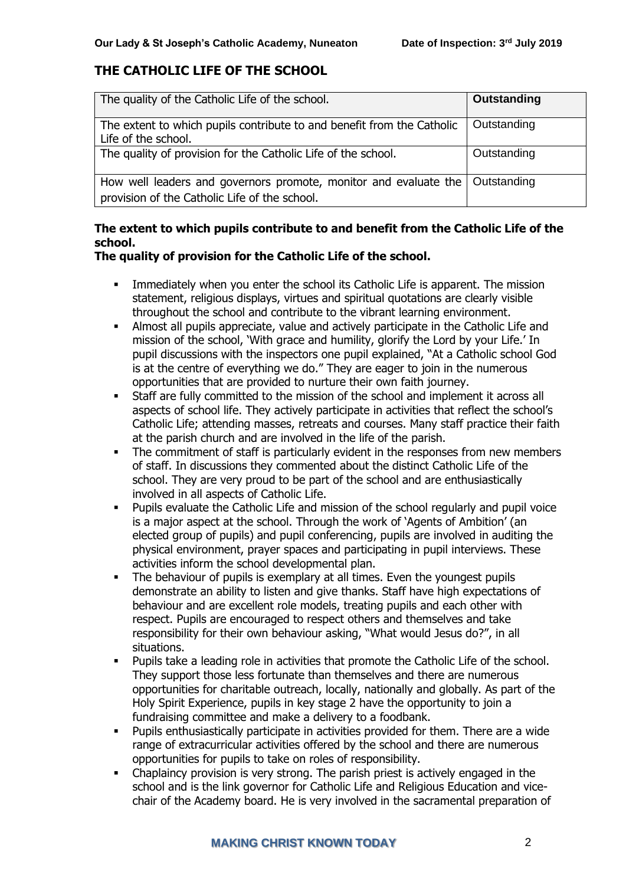# **THE CATHOLIC LIFE OF THE SCHOOL**

| The quality of the Catholic Life of the school.                                                                   | Outstanding |
|-------------------------------------------------------------------------------------------------------------------|-------------|
| The extent to which pupils contribute to and benefit from the Catholic<br>Life of the school.                     | Outstanding |
| The quality of provision for the Catholic Life of the school.                                                     | Outstanding |
| How well leaders and governors promote, monitor and evaluate the<br>provision of the Catholic Life of the school. | Outstanding |

# **The extent to which pupils contribute to and benefit from the Catholic Life of the school.**

#### **The quality of provision for the Catholic Life of the school.**

- Immediately when you enter the school its Catholic Life is apparent. The mission statement, religious displays, virtues and spiritual quotations are clearly visible throughout the school and contribute to the vibrant learning environment.
- **■** Almost all pupils appreciate, value and actively participate in the Catholic Life and mission of the school, 'With grace and humility, glorify the Lord by your Life.' In pupil discussions with the inspectors one pupil explained, "At a Catholic school God is at the centre of everything we do." They are eager to join in the numerous opportunities that are provided to nurture their own faith journey.
- Staff are fully committed to the mission of the school and implement it across all aspects of school life. They actively participate in activities that reflect the school's Catholic Life; attending masses, retreats and courses. Many staff practice their faith at the parish church and are involved in the life of the parish.
- **•** The commitment of staff is particularly evident in the responses from new members of staff. In discussions they commented about the distinct Catholic Life of the school. They are very proud to be part of the school and are enthusiastically involved in all aspects of Catholic Life.
- Pupils evaluate the Catholic Life and mission of the school regularly and pupil voice is a major aspect at the school. Through the work of 'Agents of Ambition' (an elected group of pupils) and pupil conferencing, pupils are involved in auditing the physical environment, prayer spaces and participating in pupil interviews. These activities inform the school developmental plan.
- **•** The behaviour of pupils is exemplary at all times. Even the youngest pupils demonstrate an ability to listen and give thanks. Staff have high expectations of behaviour and are excellent role models, treating pupils and each other with respect. Pupils are encouraged to respect others and themselves and take responsibility for their own behaviour asking, "What would Jesus do?", in all situations.
- Pupils take a leading role in activities that promote the Catholic Life of the school. They support those less fortunate than themselves and there are numerous opportunities for charitable outreach, locally, nationally and globally. As part of the Holy Spirit Experience, pupils in key stage 2 have the opportunity to join a fundraising committee and make a delivery to a foodbank.
- Pupils enthusiastically participate in activities provided for them. There are a wide range of extracurricular activities offered by the school and there are numerous opportunities for pupils to take on roles of responsibility.
- Chaplaincy provision is very strong. The parish priest is actively engaged in the school and is the link governor for Catholic Life and Religious Education and vicechair of the Academy board. He is very involved in the sacramental preparation of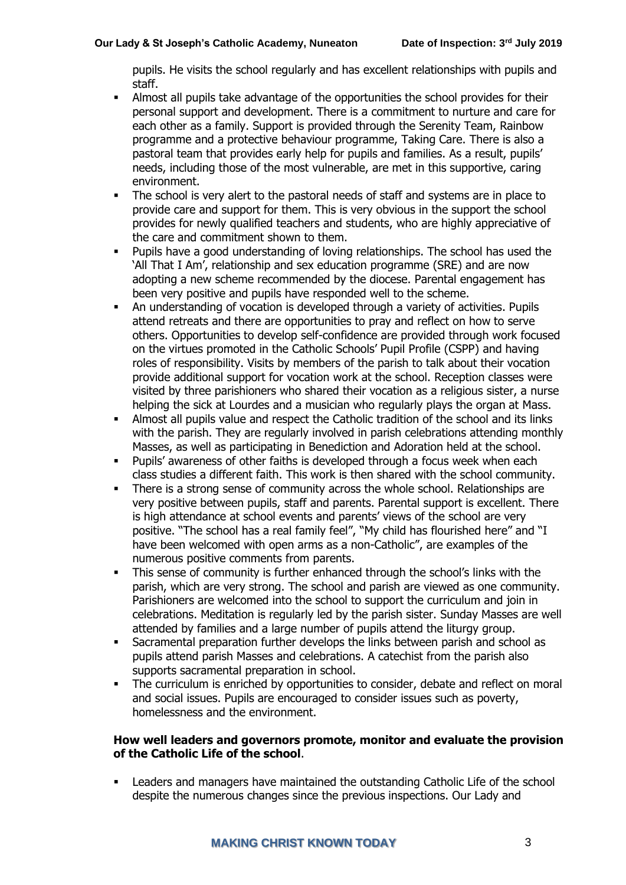pupils. He visits the school regularly and has excellent relationships with pupils and staff.

- **.** Almost all pupils take advantage of the opportunities the school provides for their personal support and development. There is a commitment to nurture and care for each other as a family. Support is provided through the Serenity Team, Rainbow programme and a protective behaviour programme, Taking Care. There is also a pastoral team that provides early help for pupils and families. As a result, pupils' needs, including those of the most vulnerable, are met in this supportive, caring environment.
- The school is very alert to the pastoral needs of staff and systems are in place to provide care and support for them. This is very obvious in the support the school provides for newly qualified teachers and students, who are highly appreciative of the care and commitment shown to them.
- Pupils have a good understanding of loving relationships. The school has used the 'All That I Am', relationship and sex education programme (SRE) and are now adopting a new scheme recommended by the diocese. Parental engagement has been very positive and pupils have responded well to the scheme.
- An understanding of vocation is developed through a variety of activities. Pupils attend retreats and there are opportunities to pray and reflect on how to serve others. Opportunities to develop self-confidence are provided through work focused on the virtues promoted in the Catholic Schools' Pupil Profile (CSPP) and having roles of responsibility. Visits by members of the parish to talk about their vocation provide additional support for vocation work at the school. Reception classes were visited by three parishioners who shared their vocation as a religious sister, a nurse helping the sick at Lourdes and a musician who regularly plays the organ at Mass.
- Almost all pupils value and respect the Catholic tradition of the school and its links with the parish. They are regularly involved in parish celebrations attending monthly Masses, as well as participating in Benediction and Adoration held at the school.
- Pupils' awareness of other faiths is developed through a focus week when each class studies a different faith. This work is then shared with the school community.
- There is a strong sense of community across the whole school. Relationships are very positive between pupils, staff and parents. Parental support is excellent. There is high attendance at school events and parents' views of the school are very positive. "The school has a real family feel", "My child has flourished here" and "I have been welcomed with open arms as a non-Catholic", are examples of the numerous positive comments from parents.
- This sense of community is further enhanced through the school's links with the parish, which are very strong. The school and parish are viewed as one community. Parishioners are welcomed into the school to support the curriculum and join in celebrations. Meditation is regularly led by the parish sister. Sunday Masses are well attended by families and a large number of pupils attend the liturgy group.
- Sacramental preparation further develops the links between parish and school as pupils attend parish Masses and celebrations. A catechist from the parish also supports sacramental preparation in school.
- **•** The curriculum is enriched by opportunities to consider, debate and reflect on moral and social issues. Pupils are encouraged to consider issues such as poverty, homelessness and the environment.

#### **How well leaders and governors promote, monitor and evaluate the provision of the Catholic Life of the school**.

Leaders and managers have maintained the outstanding Catholic Life of the school despite the numerous changes since the previous inspections. Our Lady and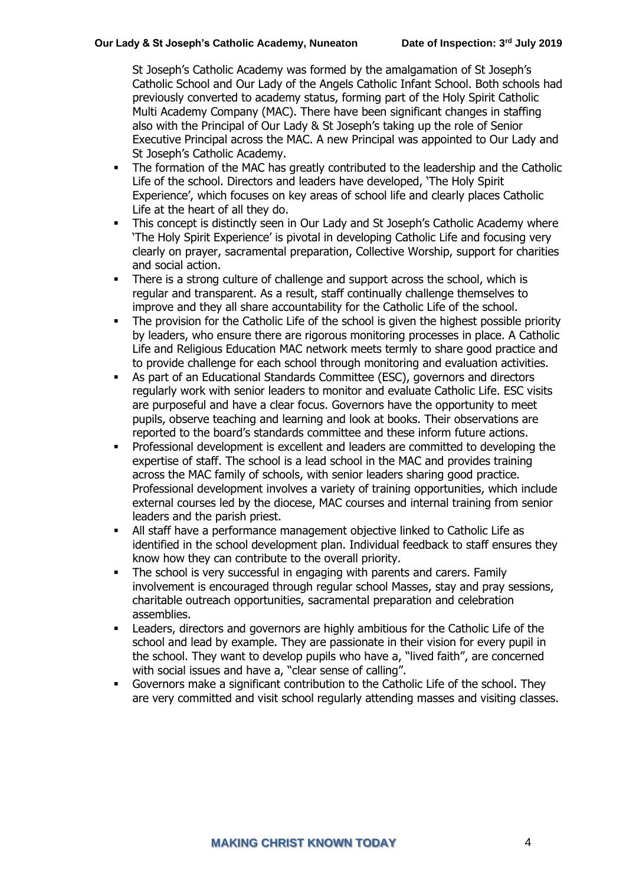St Joseph's Catholic Academy was formed by the amalgamation of St Joseph's Catholic School and Our Lady of the Angels Catholic Infant School. Both schools had previously converted to academy status, forming part of the Holy Spirit Catholic Multi Academy Company (MAC). There have been significant changes in staffing also with the Principal of Our Lady & St Joseph's taking up the role of Senior Executive Principal across the MAC. A new Principal was appointed to Our Lady and St Joseph's Catholic Academy.

- The formation of the MAC has greatly contributed to the leadership and the Catholic Life of the school. Directors and leaders have developed, 'The Holy Spirit Experience', which focuses on key areas of school life and clearly places Catholic Life at the heart of all they do.
- **•** This concept is distinctly seen in Our Lady and St Joseph's Catholic Academy where 'The Holy Spirit Experience' is pivotal in developing Catholic Life and focusing very clearly on prayer, sacramental preparation, Collective Worship, support for charities and social action.
- **•** There is a strong culture of challenge and support across the school, which is regular and transparent. As a result, staff continually challenge themselves to improve and they all share accountability for the Catholic Life of the school.
- **•** The provision for the Catholic Life of the school is given the highest possible priority by leaders, who ensure there are rigorous monitoring processes in place. A Catholic Life and Religious Education MAC network meets termly to share good practice and to provide challenge for each school through monitoring and evaluation activities.
- As part of an Educational Standards Committee (ESC), governors and directors regularly work with senior leaders to monitor and evaluate Catholic Life. ESC visits are purposeful and have a clear focus. Governors have the opportunity to meet pupils, observe teaching and learning and look at books. Their observations are reported to the board's standards committee and these inform future actions.
- Professional development is excellent and leaders are committed to developing the expertise of staff. The school is a lead school in the MAC and provides training across the MAC family of schools, with senior leaders sharing good practice. Professional development involves a variety of training opportunities, which include external courses led by the diocese, MAC courses and internal training from senior leaders and the parish priest.
- All staff have a performance management objective linked to Catholic Life as identified in the school development plan. Individual feedback to staff ensures they know how they can contribute to the overall priority.
- **•** The school is very successful in engaging with parents and carers. Family involvement is encouraged through regular school Masses, stay and pray sessions, charitable outreach opportunities, sacramental preparation and celebration assemblies.
- Leaders, directors and governors are highly ambitious for the Catholic Life of the school and lead by example. They are passionate in their vision for every pupil in the school. They want to develop pupils who have a, "lived faith", are concerned with social issues and have a, "clear sense of calling".
- Governors make a significant contribution to the Catholic Life of the school. They are very committed and visit school regularly attending masses and visiting classes.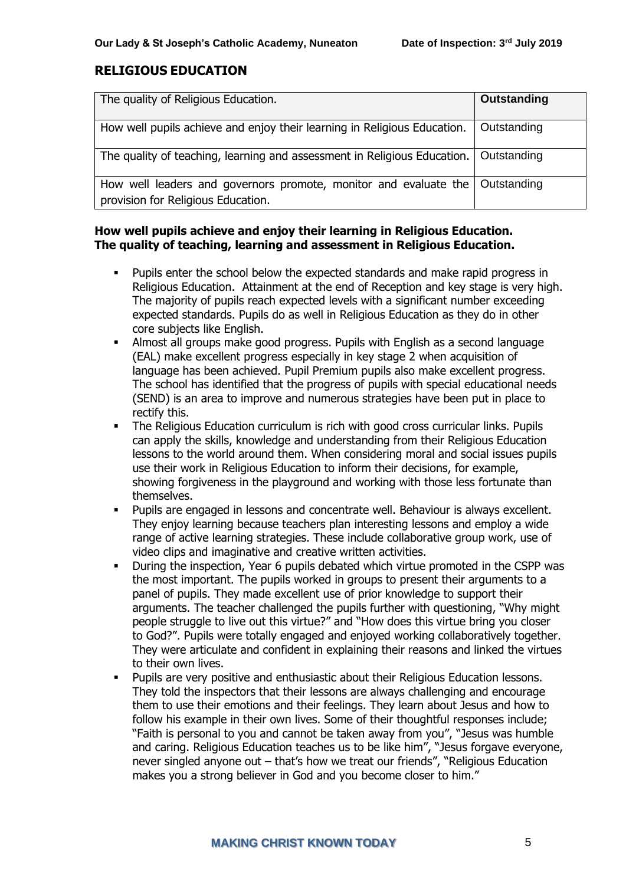# **RELIGIOUS EDUCATION**

| The quality of Religious Education.                                                                                | Outstanding |
|--------------------------------------------------------------------------------------------------------------------|-------------|
| How well pupils achieve and enjoy their learning in Religious Education.                                           | Outstanding |
| The quality of teaching, learning and assessment in Religious Education.   Outstanding                             |             |
| How well leaders and governors promote, monitor and evaluate the Outstanding<br>provision for Religious Education. |             |

#### **How well pupils achieve and enjoy their learning in Religious Education. The quality of teaching, learning and assessment in Religious Education.**

- Pupils enter the school below the expected standards and make rapid progress in Religious Education. Attainment at the end of Reception and key stage is very high. The majority of pupils reach expected levels with a significant number exceeding expected standards. Pupils do as well in Religious Education as they do in other core subjects like English.
- Almost all groups make good progress. Pupils with English as a second language (EAL) make excellent progress especially in key stage 2 when acquisition of language has been achieved. Pupil Premium pupils also make excellent progress. The school has identified that the progress of pupils with special educational needs (SEND) is an area to improve and numerous strategies have been put in place to rectify this.
- The Religious Education curriculum is rich with good cross curricular links. Pupils can apply the skills, knowledge and understanding from their Religious Education lessons to the world around them. When considering moral and social issues pupils use their work in Religious Education to inform their decisions, for example, showing forgiveness in the playground and working with those less fortunate than themselves.
- Pupils are engaged in lessons and concentrate well. Behaviour is always excellent. They enjoy learning because teachers plan interesting lessons and employ a wide range of active learning strategies. These include collaborative group work, use of video clips and imaginative and creative written activities.
- During the inspection, Year 6 pupils debated which virtue promoted in the CSPP was the most important. The pupils worked in groups to present their arguments to a panel of pupils. They made excellent use of prior knowledge to support their arguments. The teacher challenged the pupils further with questioning, "Why might people struggle to live out this virtue?" and "How does this virtue bring you closer to God?". Pupils were totally engaged and enjoyed working collaboratively together. They were articulate and confident in explaining their reasons and linked the virtues to their own lives.
- Pupils are very positive and enthusiastic about their Religious Education lessons. They told the inspectors that their lessons are always challenging and encourage them to use their emotions and their feelings. They learn about Jesus and how to follow his example in their own lives. Some of their thoughtful responses include; "Faith is personal to you and cannot be taken away from you", "Jesus was humble and caring. Religious Education teaches us to be like him", "Jesus forgave everyone, never singled anyone out – that's how we treat our friends", "Religious Education makes you a strong believer in God and you become closer to him."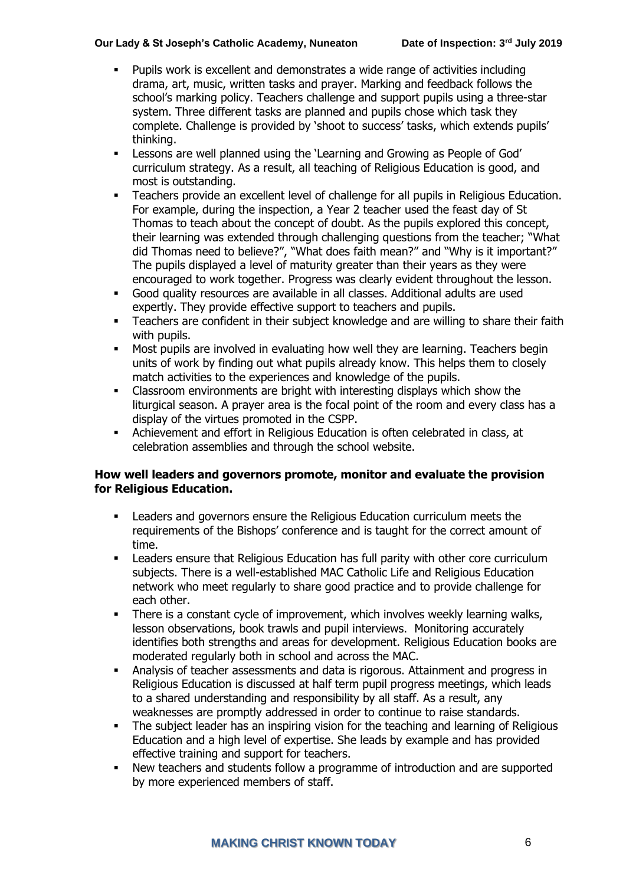- Pupils work is excellent and demonstrates a wide range of activities including drama, art, music, written tasks and prayer. Marking and feedback follows the school's marking policy. Teachers challenge and support pupils using a three-star system. Three different tasks are planned and pupils chose which task they complete. Challenge is provided by 'shoot to success' tasks, which extends pupils' thinking.
- Lessons are well planned using the 'Learning and Growing as People of God' curriculum strategy. As a result, all teaching of Religious Education is good, and most is outstanding.
- Teachers provide an excellent level of challenge for all pupils in Religious Education. For example, during the inspection, a Year 2 teacher used the feast day of St Thomas to teach about the concept of doubt. As the pupils explored this concept, their learning was extended through challenging questions from the teacher; "What did Thomas need to believe?", "What does faith mean?" and "Why is it important?" The pupils displayed a level of maturity greater than their years as they were encouraged to work together. Progress was clearly evident throughout the lesson.
- Good quality resources are available in all classes. Additional adults are used expertly. They provide effective support to teachers and pupils.
- **EXECT** Teachers are confident in their subject knowledge and are willing to share their faith with pupils.
- Most pupils are involved in evaluating how well they are learning. Teachers begin units of work by finding out what pupils already know. This helps them to closely match activities to the experiences and knowledge of the pupils.
- Classroom environments are bright with interesting displays which show the liturgical season. A prayer area is the focal point of the room and every class has a display of the virtues promoted in the CSPP.
- Achievement and effort in Religious Education is often celebrated in class, at celebration assemblies and through the school website.

#### **How well leaders and governors promote, monitor and evaluate the provision for Religious Education.**

- Leaders and governors ensure the Religious Education curriculum meets the requirements of the Bishops' conference and is taught for the correct amount of time.
- Leaders ensure that Religious Education has full parity with other core curriculum subjects. There is a well-established MAC Catholic Life and Religious Education network who meet regularly to share good practice and to provide challenge for each other.
- **•** There is a constant cycle of improvement, which involves weekly learning walks, lesson observations, book trawls and pupil interviews. Monitoring accurately identifies both strengths and areas for development. Religious Education books are moderated regularly both in school and across the MAC.
- Analysis of teacher assessments and data is rigorous. Attainment and progress in Religious Education is discussed at half term pupil progress meetings, which leads to a shared understanding and responsibility by all staff. As a result, any weaknesses are promptly addressed in order to continue to raise standards.
- **•** The subject leader has an inspiring vision for the teaching and learning of Religious Education and a high level of expertise. She leads by example and has provided effective training and support for teachers.
- New teachers and students follow a programme of introduction and are supported by more experienced members of staff.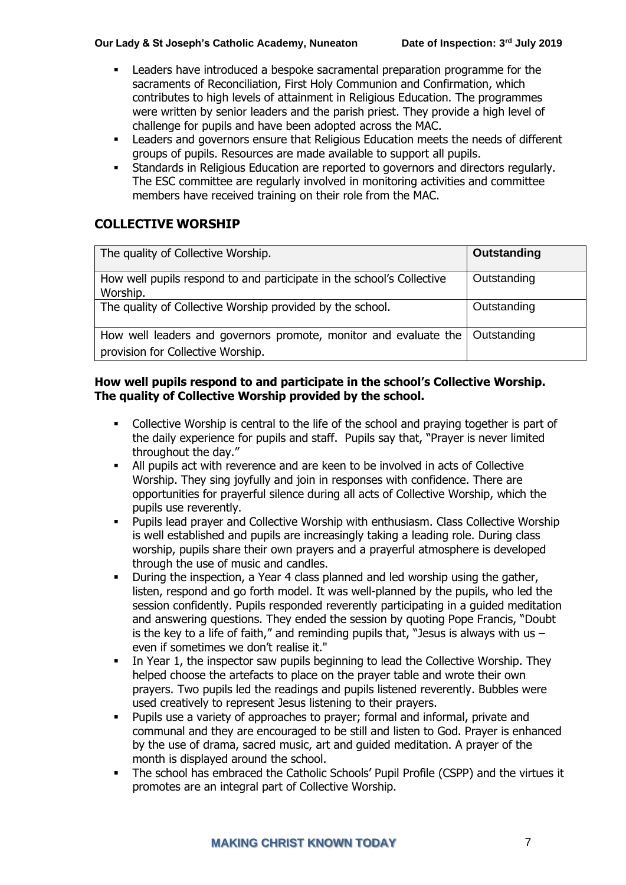- Leaders have introduced a bespoke sacramental preparation programme for the sacraments of Reconciliation, First Holy Communion and Confirmation, which contributes to high levels of attainment in Religious Education. The programmes were written by senior leaders and the parish priest. They provide a high level of challenge for pupils and have been adopted across the MAC.
- Leaders and governors ensure that Religious Education meets the needs of different groups of pupils. Resources are made available to support all pupils.
- Standards in Religious Education are reported to governors and directors regularly. The ESC committee are regularly involved in monitoring activities and committee members have received training on their role from the MAC.

# **COLLECTIVE WORSHIP**

| The quality of Collective Worship.                                                                    | Outstanding |
|-------------------------------------------------------------------------------------------------------|-------------|
| How well pupils respond to and participate in the school's Collective<br>Worship.                     | Outstanding |
| The quality of Collective Worship provided by the school.                                             | Outstanding |
| How well leaders and governors promote, monitor and evaluate the<br>provision for Collective Worship. | Outstanding |

#### **How well pupils respond to and participate in the school's Collective Worship. The quality of Collective Worship provided by the school.**

- Collective Worship is central to the life of the school and praying together is part of the daily experience for pupils and staff. Pupils say that, "Prayer is never limited throughout the day."
- All pupils act with reverence and are keen to be involved in acts of Collective Worship. They sing joyfully and join in responses with confidence. There are opportunities for prayerful silence during all acts of Collective Worship, which the pupils use reverently.
- Pupils lead prayer and Collective Worship with enthusiasm. Class Collective Worship is well established and pupils are increasingly taking a leading role. During class worship, pupils share their own prayers and a prayerful atmosphere is developed through the use of music and candles.
- During the inspection, a Year 4 class planned and led worship using the gather, listen, respond and go forth model. It was well-planned by the pupils, who led the session confidently. Pupils responded reverently participating in a guided meditation and answering questions. They ended the session by quoting Pope Francis, "Doubt is the key to a life of faith," and reminding pupils that, "Jesus is always with us  $$ even if sometimes we don't realise it."
- **•** In Year 1, the inspector saw pupils beginning to lead the Collective Worship. They helped choose the artefacts to place on the prayer table and wrote their own prayers. Two pupils led the readings and pupils listened reverently. Bubbles were used creatively to represent Jesus listening to their prayers.
- Pupils use a variety of approaches to prayer; formal and informal, private and communal and they are encouraged to be still and listen to God. Prayer is enhanced by the use of drama, sacred music, art and guided meditation. A prayer of the month is displayed around the school.
- The school has embraced the Catholic Schools' Pupil Profile (CSPP) and the virtues it promotes are an integral part of Collective Worship.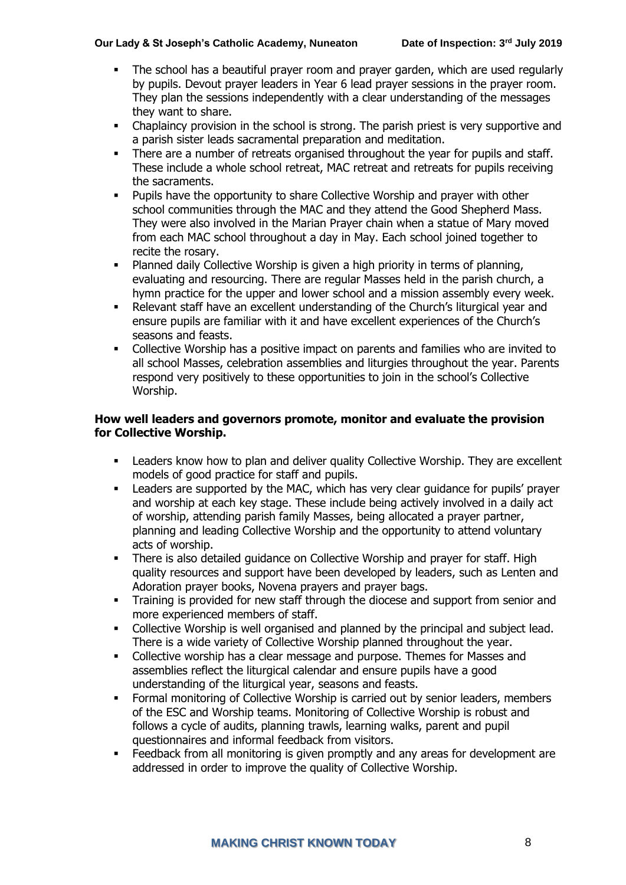- The school has a beautiful prayer room and prayer garden, which are used regularly by pupils. Devout prayer leaders in Year 6 lead prayer sessions in the prayer room. They plan the sessions independently with a clear understanding of the messages they want to share.
- Chaplaincy provision in the school is strong. The parish priest is very supportive and a parish sister leads sacramental preparation and meditation.
- There are a number of retreats organised throughout the year for pupils and staff. These include a whole school retreat, MAC retreat and retreats for pupils receiving the sacraments.
- Pupils have the opportunity to share Collective Worship and prayer with other school communities through the MAC and they attend the Good Shepherd Mass. They were also involved in the Marian Prayer chain when a statue of Mary moved from each MAC school throughout a day in May. Each school joined together to recite the rosary.
- Planned daily Collective Worship is given a high priority in terms of planning, evaluating and resourcing. There are regular Masses held in the parish church, a hymn practice for the upper and lower school and a mission assembly every week.
- Relevant staff have an excellent understanding of the Church's liturgical year and ensure pupils are familiar with it and have excellent experiences of the Church's seasons and feasts.
- Collective Worship has a positive impact on parents and families who are invited to all school Masses, celebration assemblies and liturgies throughout the year. Parents respond very positively to these opportunities to join in the school's Collective Worship.

#### **How well leaders and governors promote, monitor and evaluate the provision for Collective Worship.**

- Leaders know how to plan and deliver quality Collective Worship. They are excellent models of good practice for staff and pupils.
- Leaders are supported by the MAC, which has very clear guidance for pupils' prayer and worship at each key stage. These include being actively involved in a daily act of worship, attending parish family Masses, being allocated a prayer partner, planning and leading Collective Worship and the opportunity to attend voluntary acts of worship.
- **•** There is also detailed guidance on Collective Worship and prayer for staff. High quality resources and support have been developed by leaders, such as Lenten and Adoration prayer books, Novena prayers and prayer bags.
- **•** Training is provided for new staff through the diocese and support from senior and more experienced members of staff.
- Collective Worship is well organised and planned by the principal and subject lead. There is a wide variety of Collective Worship planned throughout the year.
- Collective worship has a clear message and purpose. Themes for Masses and assemblies reflect the liturgical calendar and ensure pupils have a good understanding of the liturgical year, seasons and feasts.
- **•** Formal monitoring of Collective Worship is carried out by senior leaders, members of the ESC and Worship teams. Monitoring of Collective Worship is robust and follows a cycle of audits, planning trawls, learning walks, parent and pupil questionnaires and informal feedback from visitors.
- Feedback from all monitoring is given promptly and any areas for development are addressed in order to improve the quality of Collective Worship.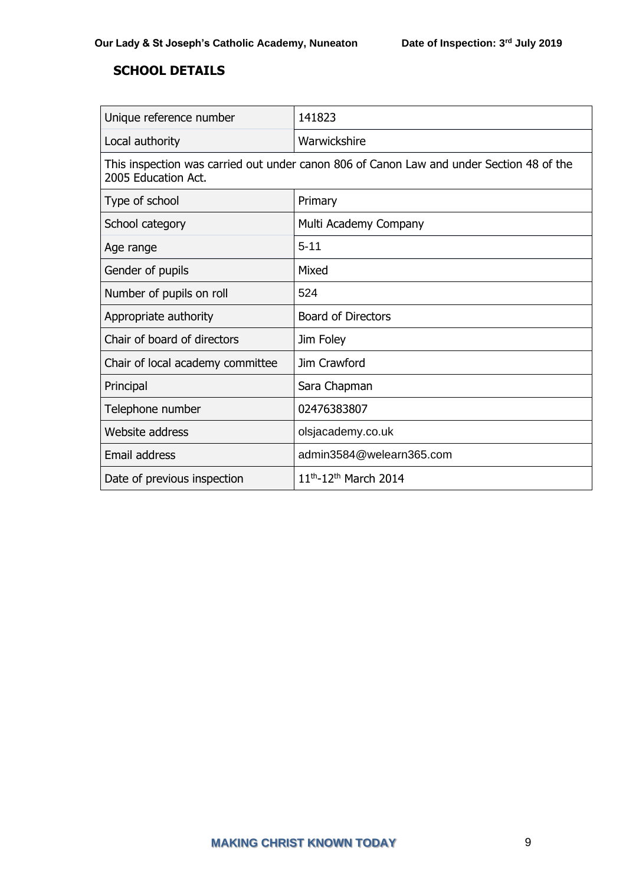# **SCHOOL DETAILS**

| Unique reference number                                                                                         | 141823                                 |  |
|-----------------------------------------------------------------------------------------------------------------|----------------------------------------|--|
| Local authority                                                                                                 | Warwickshire                           |  |
| This inspection was carried out under canon 806 of Canon Law and under Section 48 of the<br>2005 Education Act. |                                        |  |
| Type of school                                                                                                  | Primary                                |  |
| School category                                                                                                 | Multi Academy Company                  |  |
| Age range                                                                                                       | $5 - 11$                               |  |
| Gender of pupils                                                                                                | Mixed                                  |  |
| Number of pupils on roll                                                                                        | 524                                    |  |
| Appropriate authority                                                                                           | <b>Board of Directors</b>              |  |
| Chair of board of directors                                                                                     | Jim Foley                              |  |
| Chair of local academy committee                                                                                | Jim Crawford                           |  |
| Principal                                                                                                       | Sara Chapman                           |  |
| Telephone number                                                                                                | 02476383807                            |  |
| Website address                                                                                                 | olsjacademy.co.uk                      |  |
| Email address                                                                                                   | admin3584@welearn365.com               |  |
| Date of previous inspection                                                                                     | $11^{th}$ -12 <sup>th</sup> March 2014 |  |